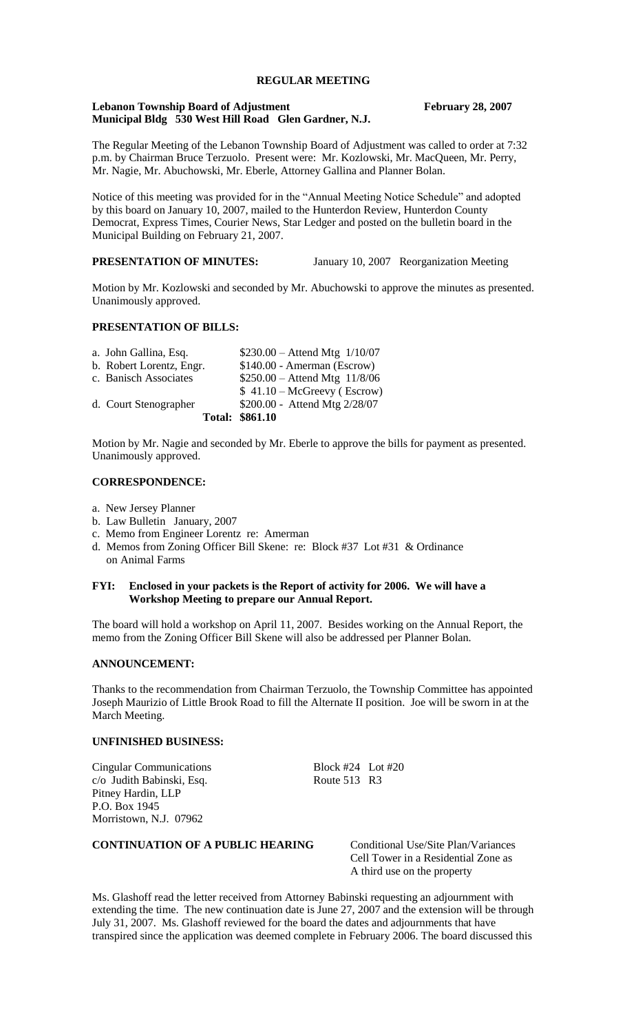## **REGULAR MEETING**

#### **Lebanon Township Board of Adjustment February 28, 2007 Municipal Bldg 530 West Hill Road Glen Gardner, N.J.**

The Regular Meeting of the Lebanon Township Board of Adjustment was called to order at 7:32 p.m. by Chairman Bruce Terzuolo. Present were: Mr. Kozlowski, Mr. MacQueen, Mr. Perry, Mr. Nagie, Mr. Abuchowski, Mr. Eberle, Attorney Gallina and Planner Bolan.

Notice of this meeting was provided for in the "Annual Meeting Notice Schedule" and adopted by this board on January 10, 2007, mailed to the Hunterdon Review, Hunterdon County Democrat, Express Times, Courier News, Star Ledger and posted on the bulletin board in the Municipal Building on February 21, 2007.

**PRESENTATION OF MINUTES:** January 10, 2007 Reorganization Meeting

Motion by Mr. Kozlowski and seconded by Mr. Abuchowski to approve the minutes as presented. Unanimously approved.

## **PRESENTATION OF BILLS:**

| a. John Gallina, Esq.    | $$230.00 - Attend Mtg 1/10/07$ |
|--------------------------|--------------------------------|
| b. Robert Lorentz, Engr. | \$140.00 - Amerman (Escrow)    |
| c. Banisch Associates    | $$250.00 - Attend Mtg$ 11/8/06 |
|                          | $$41.10-McGreevy (Escrow)$     |
| d. Court Stenographer    | \$200.00 - Attend Mtg 2/28/07  |
|                          | <b>Total: \$861.10</b>         |

Motion by Mr. Nagie and seconded by Mr. Eberle to approve the bills for payment as presented. Unanimously approved.

## **CORRESPONDENCE:**

- a. New Jersey Planner
- b. Law Bulletin January, 2007
- c. Memo from Engineer Lorentz re: Amerman
- d. Memos from Zoning Officer Bill Skene: re: Block #37 Lot #31 & Ordinance on Animal Farms

#### **FYI: Enclosed in your packets is the Report of activity for 2006. We will have a Workshop Meeting to prepare our Annual Report.**

The board will hold a workshop on April 11, 2007. Besides working on the Annual Report, the memo from the Zoning Officer Bill Skene will also be addressed per Planner Bolan.

## **ANNOUNCEMENT:**

Thanks to the recommendation from Chairman Terzuolo, the Township Committee has appointed Joseph Maurizio of Little Brook Road to fill the Alternate II position. Joe will be sworn in at the March Meeting.

## **UNFINISHED BUSINESS:**

Cingular Communications Block #24 Lot #20 c/o Judith Babinski, Esq. Route 513 R3 Pitney Hardin, LLP P.O. Box 1945 Morristown, N.J. 07962

## **CONTINUATION OF A PUBLIC HEARING** Conditional Use/Site Plan/Variances

Cell Tower in a Residential Zone as A third use on the property

Ms. Glashoff read the letter received from Attorney Babinski requesting an adjournment with extending the time. The new continuation date is June 27, 2007 and the extension will be through July 31, 2007. Ms. Glashoff reviewed for the board the dates and adjournments that have transpired since the application was deemed complete in February 2006. The board discussed this